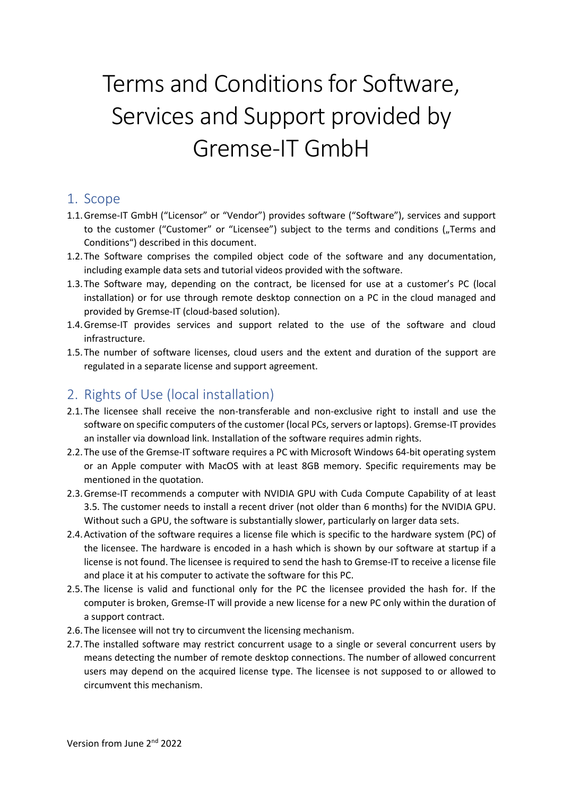# Terms and Conditions for Software, Services and Support provided by Gremse-IT GmbH

#### 1. Scope

- 1.1.Gremse-IT GmbH ("Licensor" or "Vendor") provides software ("Software"), services and support to the customer ("Customer" or "Licensee") subject to the terms and conditions ("Terms and Conditions") described in this document.
- 1.2.The Software comprises the compiled object code of the software and any documentation, including example data sets and tutorial videos provided with the software.
- 1.3.The Software may, depending on the contract, be licensed for use at a customer's PC (local installation) or for use through remote desktop connection on a PC in the cloud managed and provided by Gremse-IT (cloud-based solution).
- 1.4.Gremse-IT provides services and support related to the use of the software and cloud infrastructure.
- 1.5.The number of software licenses, cloud users and the extent and duration of the support are regulated in a separate license and support agreement.

## 2. Rights of Use (local installation)

- 2.1.The licensee shall receive the non-transferable and non-exclusive right to install and use the software on specific computers of the customer (local PCs, servers or laptops). Gremse-IT provides an installer via download link. Installation of the software requires admin rights.
- 2.2.The use of the Gremse-IT software requires a PC with Microsoft Windows 64-bit operating system or an Apple computer with MacOS with at least 8GB memory. Specific requirements may be mentioned in the quotation.
- 2.3.Gremse-IT recommends a computer with NVIDIA GPU with Cuda Compute Capability of at least 3.5. The customer needs to install a recent driver (not older than 6 months) for the NVIDIA GPU. Without such a GPU, the software is substantially slower, particularly on larger data sets.
- 2.4.Activation of the software requires a license file which is specific to the hardware system (PC) of the licensee. The hardware is encoded in a hash which is shown by our software at startup if a license is not found. The licensee is required to send the hash to Gremse-IT to receive a license file and place it at his computer to activate the software for this PC.
- 2.5.The license is valid and functional only for the PC the licensee provided the hash for. If the computer is broken, Gremse-IT will provide a new license for a new PC only within the duration of a support contract.
- 2.6.The licensee will not try to circumvent the licensing mechanism.
- 2.7.The installed software may restrict concurrent usage to a single or several concurrent users by means detecting the number of remote desktop connections. The number of allowed concurrent users may depend on the acquired license type. The licensee is not supposed to or allowed to circumvent this mechanism.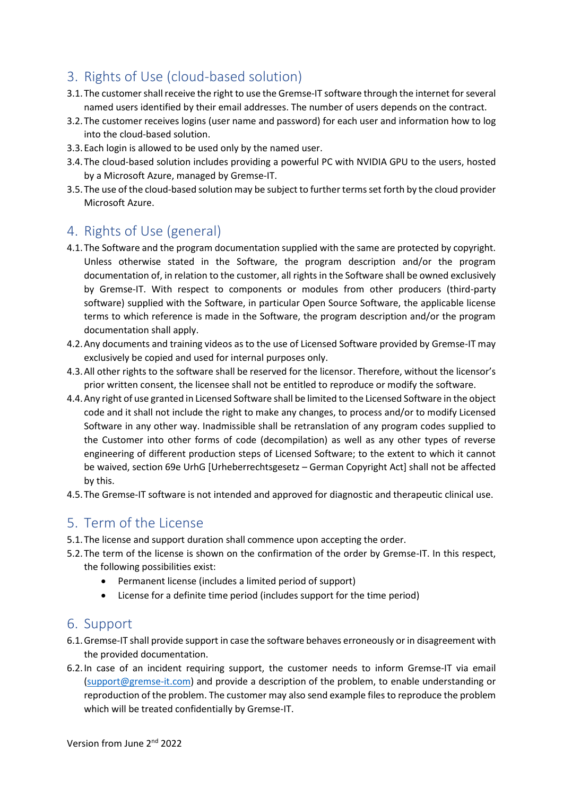## 3. Rights of Use (cloud-based solution)

- 3.1. The customer shall receive the right to use the Gremse-IT software through the internet for several named users identified by their email addresses. The number of users depends on the contract.
- 3.2.The customer receives logins (user name and password) for each user and information how to log into the cloud-based solution.
- 3.3.Each login is allowed to be used only by the named user.
- 3.4.The cloud-based solution includes providing a powerful PC with NVIDIA GPU to the users, hosted by a Microsoft Azure, managed by Gremse-IT.
- 3.5.The use of the cloud-based solution may be subject to further terms set forth by the cloud provider Microsoft Azure.

## 4. Rights of Use (general)

- 4.1.The Software and the program documentation supplied with the same are protected by copyright. Unless otherwise stated in the Software, the program description and/or the program documentation of, in relation to the customer, all rights in the Software shall be owned exclusively by Gremse-IT. With respect to components or modules from other producers (third-party software) supplied with the Software, in particular Open Source Software, the applicable license terms to which reference is made in the Software, the program description and/or the program documentation shall apply.
- 4.2.Any documents and training videos as to the use of Licensed Software provided by Gremse-IT may exclusively be copied and used for internal purposes only.
- 4.3.All other rights to the software shall be reserved for the licensor. Therefore, without the licensor's prior written consent, the licensee shall not be entitled to reproduce or modify the software.
- 4.4.Any right of use granted in Licensed Software shall be limited to the Licensed Software in the object code and it shall not include the right to make any changes, to process and/or to modify Licensed Software in any other way. Inadmissible shall be retranslation of any program codes supplied to the Customer into other forms of code (decompilation) as well as any other types of reverse engineering of different production steps of Licensed Software; to the extent to which it cannot be waived, section 69e UrhG [Urheberrechtsgesetz – German Copyright Act] shall not be affected by this.
- 4.5.The Gremse-IT software is not intended and approved for diagnostic and therapeutic clinical use.

## 5. Term of the License

- 5.1.The license and support duration shall commence upon accepting the order.
- 5.2.The term of the license is shown on the confirmation of the order by Gremse-IT. In this respect, the following possibilities exist:
	- Permanent license (includes a limited period of support)
	- License for a definite time period (includes support for the time period)

## 6. Support

- 6.1.Gremse-IT shall provide support in case the software behaves erroneously or in disagreement with the provided documentation.
- 6.2.In case of an incident requiring support, the customer needs to inform Gremse-IT via email [\(support@gremse-it.com\)](mailto:support@gremse-it.com) and provide a description of the problem, to enable understanding or reproduction of the problem. The customer may also send example files to reproduce the problem which will be treated confidentially by Gremse-IT.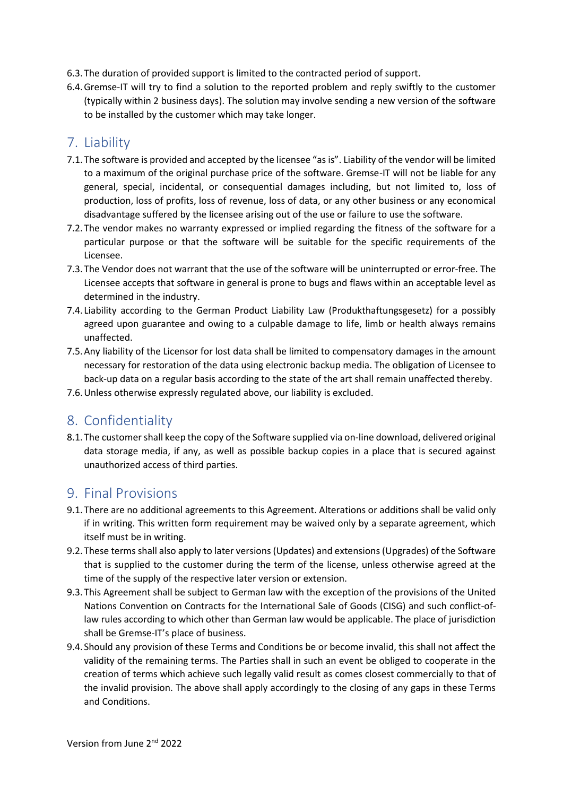- 6.3.The duration of provided support is limited to the contracted period of support.
- 6.4.Gremse-IT will try to find a solution to the reported problem and reply swiftly to the customer (typically within 2 business days). The solution may involve sending a new version of the software to be installed by the customer which may take longer.

#### 7. Liability

- 7.1.The software is provided and accepted by the licensee "as is". Liability of the vendor will be limited to a maximum of the original purchase price of the software. Gremse-IT will not be liable for any general, special, incidental, or consequential damages including, but not limited to, loss of production, loss of profits, loss of revenue, loss of data, or any other business or any economical disadvantage suffered by the licensee arising out of the use or failure to use the software.
- 7.2.The vendor makes no warranty expressed or implied regarding the fitness of the software for a particular purpose or that the software will be suitable for the specific requirements of the Licensee.
- 7.3.The Vendor does not warrant that the use of the software will be uninterrupted or error-free. The Licensee accepts that software in general is prone to bugs and flaws within an acceptable level as determined in the industry.
- 7.4. Liability according to the German Product Liability Law (Produkthaftungsgesetz) for a possibly agreed upon guarantee and owing to a culpable damage to life, limb or health always remains unaffected.
- 7.5.Any liability of the Licensor for lost data shall be limited to compensatory damages in the amount necessary for restoration of the data using electronic backup media. The obligation of Licensee to back-up data on a regular basis according to the state of the art shall remain unaffected thereby.
- 7.6.Unless otherwise expressly regulated above, our liability is excluded.

## 8. Confidentiality

8.1.The customer shall keep the copy of the Software supplied via on-line download, delivered original data storage media, if any, as well as possible backup copies in a place that is secured against unauthorized access of third parties.

#### 9. Final Provisions

- 9.1.There are no additional agreements to this Agreement. Alterations or additions shall be valid only if in writing. This written form requirement may be waived only by a separate agreement, which itself must be in writing.
- 9.2.These terms shall also apply to later versions (Updates) and extensions (Upgrades) of the Software that is supplied to the customer during the term of the license, unless otherwise agreed at the time of the supply of the respective later version or extension.
- 9.3.This Agreement shall be subject to German law with the exception of the provisions of the United Nations Convention on Contracts for the International Sale of Goods (CISG) and such conflict-oflaw rules according to which other than German law would be applicable. The place of jurisdiction shall be Gremse-IT's place of business.
- 9.4.Should any provision of these Terms and Conditions be or become invalid, this shall not affect the validity of the remaining terms. The Parties shall in such an event be obliged to cooperate in the creation of terms which achieve such legally valid result as comes closest commercially to that of the invalid provision. The above shall apply accordingly to the closing of any gaps in these Terms and Conditions.